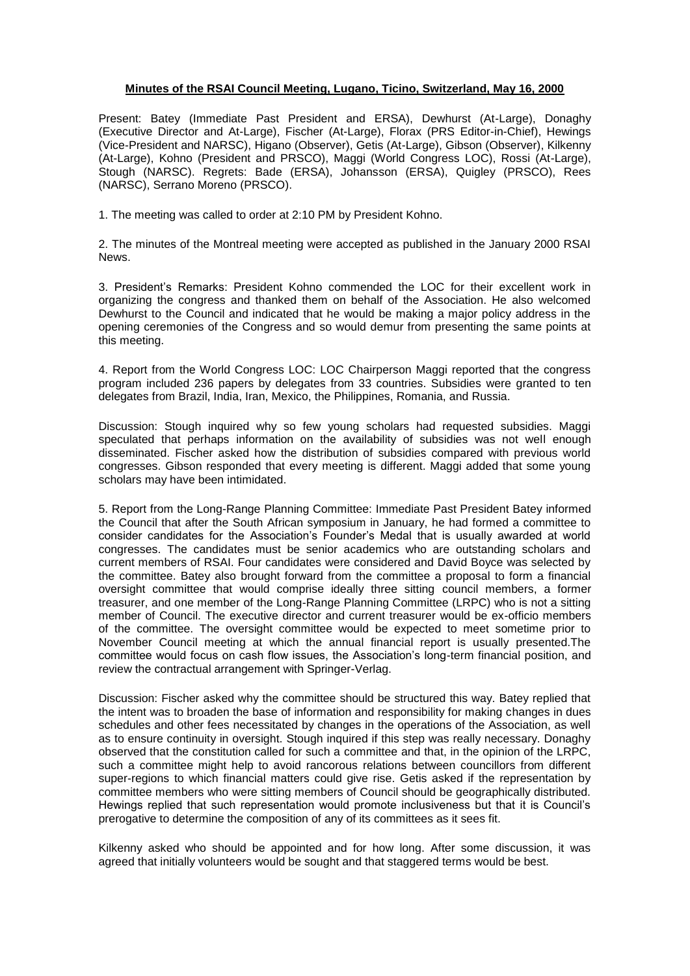## **Minutes of the RSAI Council Meeting, Lugano, Ticino, Switzerland, May 16, 2000**

Present: Batey (Immediate Past President and ERSA), Dewhurst (At-Large), Donaghy (Executive Director and At-Large), Fischer (At-Large), Florax (PRS Editor-in-Chief), Hewings (Vice-President and NARSC), Higano (Observer), Getis (At-Large), Gibson (Observer), Kilkenny (At-Large), Kohno (President and PRSCO), Maggi (World Congress LOC), Rossi (At-Large), Stough (NARSC). Regrets: Bade (ERSA), Johansson (ERSA), Quigley (PRSCO), Rees (NARSC), Serrano Moreno (PRSCO).

1. The meeting was called to order at 2:10 PM by President Kohno.

2. The minutes of the Montreal meeting were accepted as published in the January 2000 RSAI News.

3. President's Remarks: President Kohno commended the LOC for their excellent work in organizing the congress and thanked them on behalf of the Association. He also welcomed Dewhurst to the Council and indicated that he would be making a major policy address in the opening ceremonies of the Congress and so would demur from presenting the same points at this meeting.

4. Report from the World Congress LOC: LOC Chairperson Maggi reported that the congress program included 236 papers by delegates from 33 countries. Subsidies were granted to ten delegates from Brazil, India, Iran, Mexico, the Philippines, Romania, and Russia.

Discussion: Stough inquired why so few young scholars had requested subsidies. Maggi speculated that perhaps information on the availability of subsidies was not well enough disseminated. Fischer asked how the distribution of subsidies compared with previous world congresses. Gibson responded that every meeting is different. Maggi added that some young scholars may have been intimidated.

5. Report from the Long-Range Planning Committee: Immediate Past President Batey informed the Council that after the South African symposium in January, he had formed a committee to consider candidates for the Association's Founder's Medal that is usually awarded at world congresses. The candidates must be senior academics who are outstanding scholars and current members of RSAI. Four candidates were considered and David Boyce was selected by the committee. Batey also brought forward from the committee a proposal to form a financial oversight committee that would comprise ideally three sitting council members, a former treasurer, and one member of the Long-Range Planning Committee (LRPC) who is not a sitting member of Council. The executive director and current treasurer would be ex-officio members of the committee. The oversight committee would be expected to meet sometime prior to November Council meeting at which the annual financial report is usually presented.The committee would focus on cash flow issues, the Association's long-term financial position, and review the contractual arrangement with Springer-Verlag.

Discussion: Fischer asked why the committee should be structured this way. Batey replied that the intent was to broaden the base of information and responsibility for making changes in dues schedules and other fees necessitated by changes in the operations of the Association, as well as to ensure continuity in oversight. Stough inquired if this step was really necessary. Donaghy observed that the constitution called for such a committee and that, in the opinion of the LRPC, such a committee might help to avoid rancorous relations between councillors from different super-regions to which financial matters could give rise. Getis asked if the representation by committee members who were sitting members of Council should be geographically distributed. Hewings replied that such representation would promote inclusiveness but that it is Council's prerogative to determine the composition of any of its committees as it sees fit.

Kilkenny asked who should be appointed and for how long. After some discussion, it was agreed that initially volunteers would be sought and that staggered terms would be best.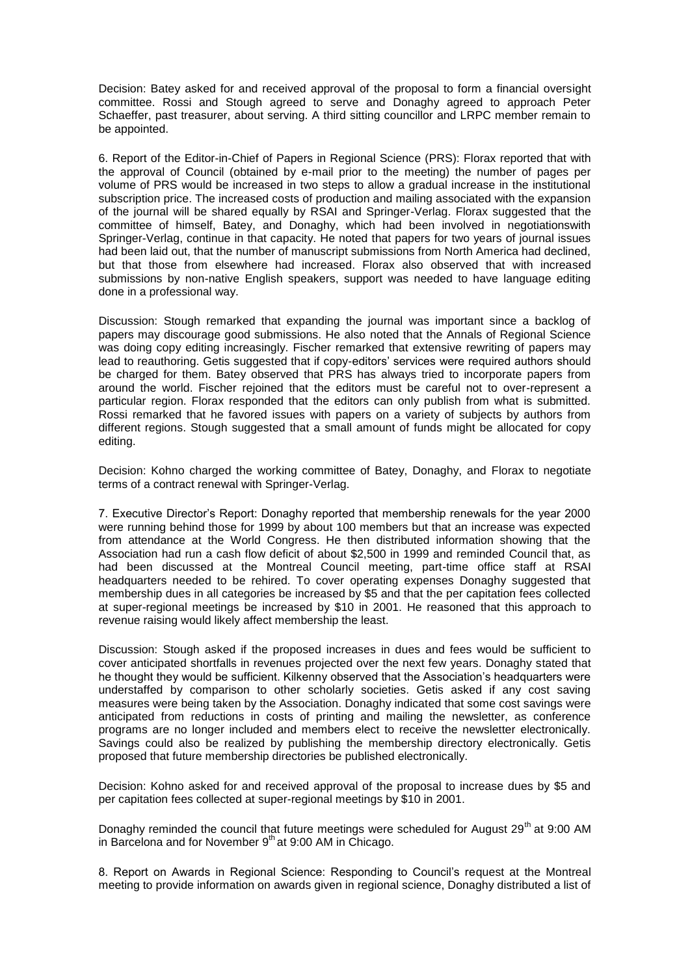Decision: Batey asked for and received approval of the proposal to form a financial oversight committee. Rossi and Stough agreed to serve and Donaghy agreed to approach Peter Schaeffer, past treasurer, about serving. A third sitting councillor and LRPC member remain to be appointed.

6. Report of the Editor-in-Chief of Papers in Regional Science (PRS): Florax reported that with the approval of Council (obtained by e-mail prior to the meeting) the number of pages per volume of PRS would be increased in two steps to allow a gradual increase in the institutional subscription price. The increased costs of production and mailing associated with the expansion of the journal will be shared equally by RSAI and Springer-Verlag. Florax suggested that the committee of himself, Batey, and Donaghy, which had been involved in negotiationswith Springer-Verlag, continue in that capacity. He noted that papers for two years of journal issues had been laid out, that the number of manuscript submissions from North America had declined, but that those from elsewhere had increased. Florax also observed that with increased submissions by non-native English speakers, support was needed to have language editing done in a professional way.

Discussion: Stough remarked that expanding the journal was important since a backlog of papers may discourage good submissions. He also noted that the Annals of Regional Science was doing copy editing increasingly. Fischer remarked that extensive rewriting of papers may lead to reauthoring. Getis suggested that if copy-editors' services were required authors should be charged for them. Batey observed that PRS has always tried to incorporate papers from around the world. Fischer rejoined that the editors must be careful not to over-represent a particular region. Florax responded that the editors can only publish from what is submitted. Rossi remarked that he favored issues with papers on a variety of subjects by authors from different regions. Stough suggested that a small amount of funds might be allocated for copy editing.

Decision: Kohno charged the working committee of Batey, Donaghy, and Florax to negotiate terms of a contract renewal with Springer-Verlag.

7. Executive Director's Report: Donaghy reported that membership renewals for the year 2000 were running behind those for 1999 by about 100 members but that an increase was expected from attendance at the World Congress. He then distributed information showing that the Association had run a cash flow deficit of about \$2,500 in 1999 and reminded Council that, as had been discussed at the Montreal Council meeting, part-time office staff at RSAI headquarters needed to be rehired. To cover operating expenses Donaghy suggested that membership dues in all categories be increased by \$5 and that the per capitation fees collected at super-regional meetings be increased by \$10 in 2001. He reasoned that this approach to revenue raising would likely affect membership the least.

Discussion: Stough asked if the proposed increases in dues and fees would be sufficient to cover anticipated shortfalls in revenues projected over the next few years. Donaghy stated that he thought they would be sufficient. Kilkenny observed that the Association's headquarters were understaffed by comparison to other scholarly societies. Getis asked if any cost saving measures were being taken by the Association. Donaghy indicated that some cost savings were anticipated from reductions in costs of printing and mailing the newsletter, as conference programs are no longer included and members elect to receive the newsletter electronically. Savings could also be realized by publishing the membership directory electronically. Getis proposed that future membership directories be published electronically.

Decision: Kohno asked for and received approval of the proposal to increase dues by \$5 and per capitation fees collected at super-regional meetings by \$10 in 2001.

Donaghy reminded the council that future meetings were scheduled for August 29<sup>th</sup> at 9:00 AM in Barcelona and for November  $9<sup>th</sup>$  at 9:00 AM in Chicago.

8. Report on Awards in Regional Science: Responding to Council's request at the Montreal meeting to provide information on awards given in regional science, Donaghy distributed a list of